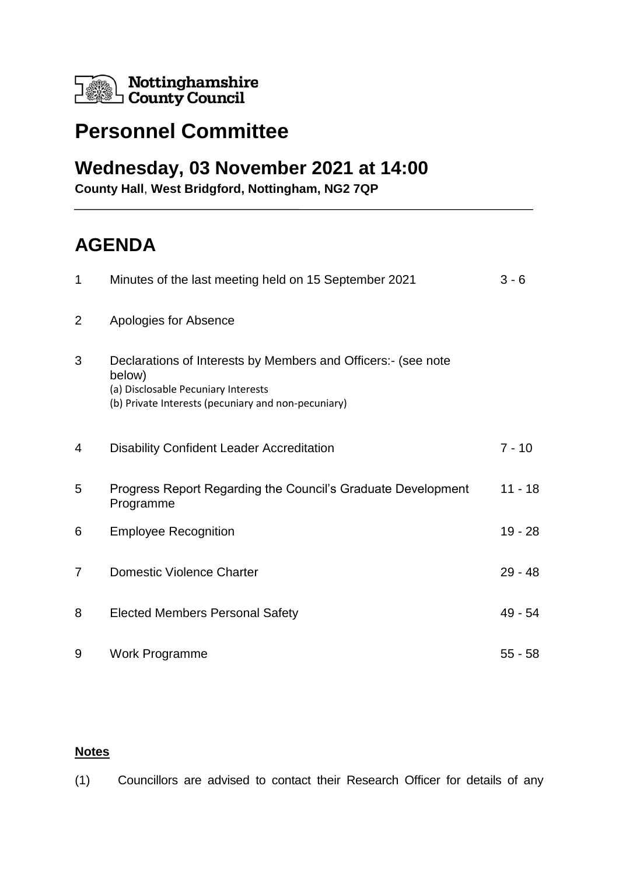

## **Personnel Committee**

## **Wednesday, 03 November 2021 at 14:00**

**County Hall**, **West Bridgford, Nottingham, NG2 7QP**

## **AGENDA**

| $\mathbf{1}$   | Minutes of the last meeting held on 15 September 2021                                                                                                                 | $3 - 6$   |
|----------------|-----------------------------------------------------------------------------------------------------------------------------------------------------------------------|-----------|
| $\overline{2}$ | Apologies for Absence                                                                                                                                                 |           |
| 3              | Declarations of Interests by Members and Officers:- (see note<br>below)<br>(a) Disclosable Pecuniary Interests<br>(b) Private Interests (pecuniary and non-pecuniary) |           |
| 4              | <b>Disability Confident Leader Accreditation</b>                                                                                                                      | $7 - 10$  |
| 5              | Progress Report Regarding the Council's Graduate Development<br>Programme                                                                                             | $11 - 18$ |
| 6              | <b>Employee Recognition</b>                                                                                                                                           | 19 - 28   |
| $\overline{7}$ | <b>Domestic Violence Charter</b>                                                                                                                                      | $29 - 48$ |
| 8              | <b>Elected Members Personal Safety</b>                                                                                                                                | 49 - 54   |
| 9              | Work Programme                                                                                                                                                        | $55 - 58$ |

## **Notes**

(1) Councillors are advised to contact their Research Officer for details of any